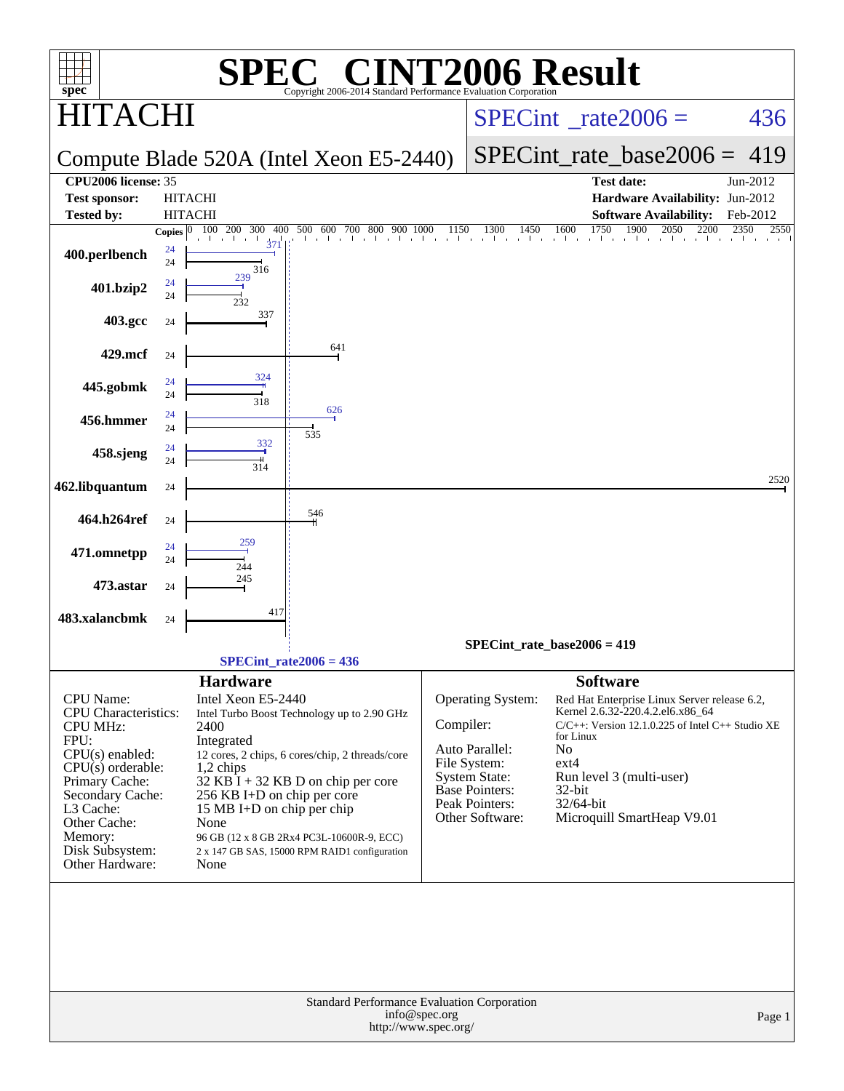| $spec^*$                                        |                                               | $\mathbb{C}^{\scriptscriptstyle \otimes}$ CINT2006 Result<br>Н,<br>Copyright 2006-2014 Standard Performance Evaluation Corporation |                                        |                                      |                                                                                  |                          |  |  |
|-------------------------------------------------|-----------------------------------------------|------------------------------------------------------------------------------------------------------------------------------------|----------------------------------------|--------------------------------------|----------------------------------------------------------------------------------|--------------------------|--|--|
| AC I                                            |                                               |                                                                                                                                    | $SPECint^{\circ}$ rate $2006 =$<br>436 |                                      |                                                                                  |                          |  |  |
|                                                 |                                               | Compute Blade 520A (Intel Xeon E5-2440)                                                                                            | $SPECint_rate_base2006 = 419$          |                                      |                                                                                  |                          |  |  |
| CPU2006 license: 35                             |                                               |                                                                                                                                    |                                        |                                      | <b>Test date:</b>                                                                | Jun-2012                 |  |  |
| <b>Test sponsor:</b>                            | <b>HITACHI</b>                                |                                                                                                                                    |                                        |                                      | Hardware Availability: Jun-2012                                                  |                          |  |  |
| <b>Tested by:</b>                               | <b>HITACHI</b><br>100 200 300<br>Copies $ 0 $ | 400<br>500 600 700 800 900 1000                                                                                                    | 1150                                   | 1300<br>1450                         | <b>Software Availability:</b><br>1900<br>2050<br>2200                            | Feb-2012<br>2350<br>2550 |  |  |
| 400.perlbench                                   | 24<br>24<br>316                               | $\mathbf{1}$ and $\mathbf{1}$<br>$\blacksquare$<br>37                                                                              | and the con-                           |                                      | $450$ $1600$ $1750$                                                              |                          |  |  |
| 401.bzip2                                       | 239<br>24<br>24<br>232                        |                                                                                                                                    |                                        |                                      |                                                                                  |                          |  |  |
| 403.gcc                                         | 337<br>24                                     |                                                                                                                                    |                                        |                                      |                                                                                  |                          |  |  |
| 429.mcf                                         | 24                                            | 641                                                                                                                                |                                        |                                      |                                                                                  |                          |  |  |
| 445.gobmk                                       | 324<br>24<br>24<br>318                        |                                                                                                                                    |                                        |                                      |                                                                                  |                          |  |  |
| 456.hmmer                                       | 24<br>24                                      | 626<br>535                                                                                                                         |                                        |                                      |                                                                                  |                          |  |  |
| 458.sjeng                                       | 332<br>24<br>24<br>314                        |                                                                                                                                    |                                        |                                      |                                                                                  |                          |  |  |
| 462.libquantum                                  | 24                                            |                                                                                                                                    |                                        |                                      |                                                                                  | 2520                     |  |  |
| 464.h264ref                                     | 24                                            | 546                                                                                                                                |                                        |                                      |                                                                                  |                          |  |  |
| 471.omnetpp                                     | 259<br>24<br>24<br>244                        |                                                                                                                                    |                                        |                                      |                                                                                  |                          |  |  |
| 473.astar                                       | 245<br>24                                     |                                                                                                                                    |                                        |                                      |                                                                                  |                          |  |  |
| 483.xalancbmk                                   | 24                                            | 417                                                                                                                                |                                        |                                      |                                                                                  |                          |  |  |
|                                                 |                                               |                                                                                                                                    |                                        |                                      | SPECint rate base $2006 = 419$                                                   |                          |  |  |
|                                                 |                                               | SPECint rate $2006 = 436$                                                                                                          |                                        |                                      |                                                                                  |                          |  |  |
|                                                 | <b>Hardware</b><br>Intel Xeon E5-2440         |                                                                                                                                    |                                        |                                      | <b>Software</b>                                                                  |                          |  |  |
| <b>CPU</b> Name:<br><b>CPU</b> Characteristics: |                                               | Intel Turbo Boost Technology up to 2.90 GHz                                                                                        |                                        | Operating System:                    | Red Hat Enterprise Linux Server release 6.2,<br>Kernel 2.6.32-220.4.2.el6.x86_64 |                          |  |  |
| <b>CPU MHz:</b>                                 | 2400                                          |                                                                                                                                    | Compiler:                              |                                      | $C/C++$ : Version 12.1.0.225 of Intel $C++$ Studio XE<br>for Linux               |                          |  |  |
| FPU:<br>$CPU(s)$ enabled:                       | Integrated                                    | 12 cores, 2 chips, 6 cores/chip, 2 threads/core                                                                                    |                                        | Auto Parallel:                       | No                                                                               |                          |  |  |
| $CPU(s)$ orderable:                             | $1,2$ chips                                   |                                                                                                                                    |                                        | File System:<br><b>System State:</b> | $ext{4}$<br>Run level 3 (multi-user)                                             |                          |  |  |
| Primary Cache:<br>Secondary Cache:              |                                               | $32$ KB I + 32 KB D on chip per core<br>256 KB I+D on chip per core                                                                |                                        | <b>Base Pointers:</b>                | 32-bit                                                                           |                          |  |  |
| L3 Cache:                                       |                                               | 15 MB I+D on chip per chip                                                                                                         |                                        | Peak Pointers:<br>Other Software:    | $32/64$ -bit<br>Microquill SmartHeap V9.01                                       |                          |  |  |
| Other Cache:<br>Memory:                         | None                                          | 96 GB (12 x 8 GB 2Rx4 PC3L-10600R-9, ECC)                                                                                          |                                        |                                      |                                                                                  |                          |  |  |
| Disk Subsystem:                                 |                                               | 2 x 147 GB SAS, 15000 RPM RAID1 configuration                                                                                      |                                        |                                      |                                                                                  |                          |  |  |
| Other Hardware:                                 | None                                          |                                                                                                                                    |                                        |                                      |                                                                                  |                          |  |  |
|                                                 |                                               |                                                                                                                                    |                                        |                                      |                                                                                  |                          |  |  |
|                                                 |                                               |                                                                                                                                    |                                        |                                      |                                                                                  |                          |  |  |
|                                                 |                                               |                                                                                                                                    |                                        |                                      |                                                                                  |                          |  |  |
|                                                 |                                               |                                                                                                                                    |                                        |                                      |                                                                                  |                          |  |  |
|                                                 |                                               |                                                                                                                                    |                                        |                                      |                                                                                  |                          |  |  |
|                                                 |                                               | <b>Standard Performance Evaluation Corporation</b>                                                                                 |                                        |                                      |                                                                                  |                          |  |  |
|                                                 |                                               |                                                                                                                                    | info@spec.org<br>http://www.spec.org/  |                                      |                                                                                  | Page 1                   |  |  |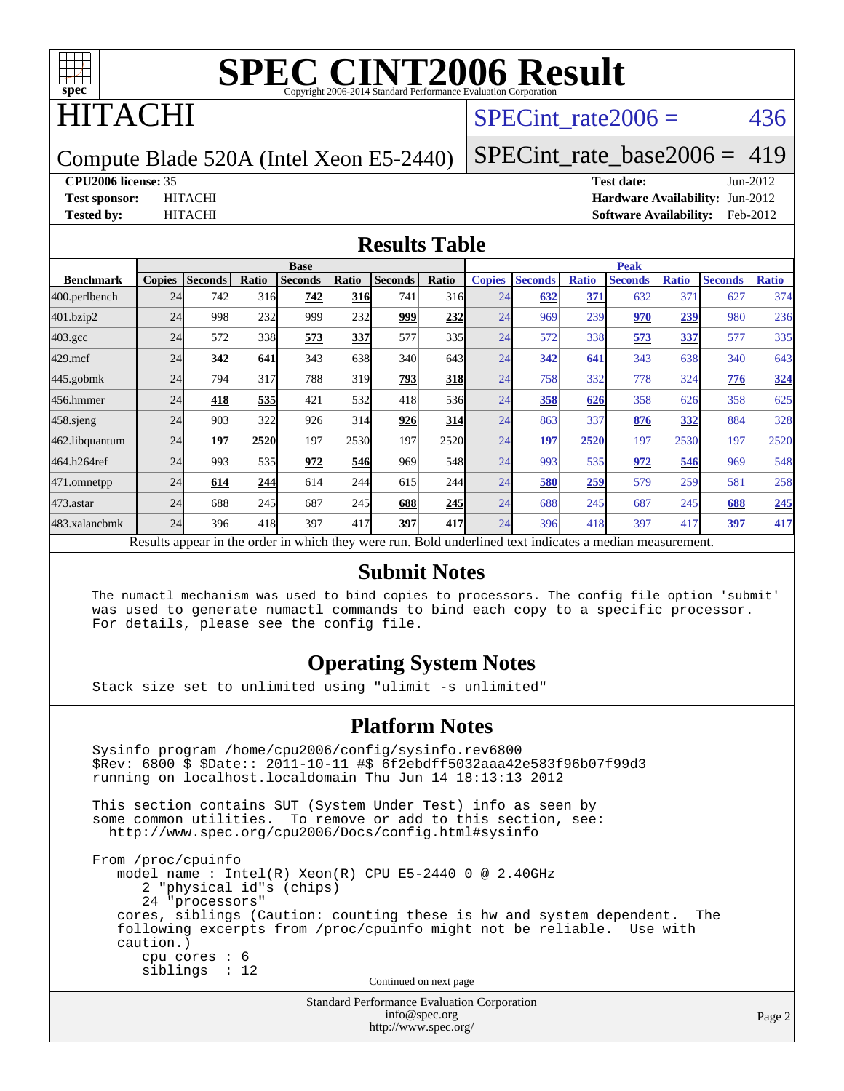

## ITACHI

### SPECint rate $2006 = 436$

Compute Blade 520A (Intel Xeon E5-2440)

[SPECint\\_rate\\_base2006 =](http://www.spec.org/auto/cpu2006/Docs/result-fields.html#SPECintratebase2006) 419

#### **[CPU2006 license:](http://www.spec.org/auto/cpu2006/Docs/result-fields.html#CPU2006license)** 35 **[Test date:](http://www.spec.org/auto/cpu2006/Docs/result-fields.html#Testdate)** Jun-2012

**[Test sponsor:](http://www.spec.org/auto/cpu2006/Docs/result-fields.html#Testsponsor)** HITACHI **[Hardware Availability:](http://www.spec.org/auto/cpu2006/Docs/result-fields.html#HardwareAvailability)** Jun-2012 **[Tested by:](http://www.spec.org/auto/cpu2006/Docs/result-fields.html#Testedby)** HITACHI **[Software Availability:](http://www.spec.org/auto/cpu2006/Docs/result-fields.html#SoftwareAvailability)** Feb-2012

#### **[Results Table](http://www.spec.org/auto/cpu2006/Docs/result-fields.html#ResultsTable)**

|                                                                                                          | <b>Base</b>   |                |       |                |            |                | <b>Peak</b>  |               |                |              |                |                 |                |              |
|----------------------------------------------------------------------------------------------------------|---------------|----------------|-------|----------------|------------|----------------|--------------|---------------|----------------|--------------|----------------|-----------------|----------------|--------------|
| <b>Benchmark</b>                                                                                         | <b>Copies</b> | <b>Seconds</b> | Ratio | <b>Seconds</b> | Ratio      | <b>Seconds</b> | <b>Ratio</b> | <b>Copies</b> | <b>Seconds</b> | <b>Ratio</b> | <b>Seconds</b> | <b>Ratio</b>    | <b>Seconds</b> | <b>Ratio</b> |
| 400.perlbench                                                                                            | 24            | 742            | 316   | 742            | <b>316</b> | 741            | 316          | 24            | 632            | 371          | 632            | 37 <sup>2</sup> | 627            | 374          |
| 401.bzip2                                                                                                | 24            | 998            | 232   | 999            | 232        | 999            | 232          | 24            | 969            | 239          | 970            | 239             | 980            | 236          |
| $403.\mathrm{gcc}$                                                                                       | 24            | 572            | 338   | 573            | 337        | 577            | 335          | 24            | 572            | 338          | 573            | 337             | 577            | 335          |
| $429$ .mcf                                                                                               | 24            | 342            | 641   | 343            | 638        | 340            | 643          | 24            | 342            | 641          | 343            | 638             | 340            | 643          |
| $445$ .gobmk                                                                                             | 24            | 794            | 317   | 788            | 319        | 793            | 318          | 24            | 758            | 332          | 778            | 324             | 776            | 324          |
| 456.hmmer                                                                                                | 24            | 418            | 535   | 421            | 532        | 418            | 536          | 24            | 358            | 626          | 358            | 626             | 358            | 625          |
| $458$ .sjeng                                                                                             | 24            | 903            | 322   | 926            | 314        | 926            | 314          | 24            | 863            | 337          | 876            | 332             | 884            | 328          |
| 462.libquantum                                                                                           | 24            | 197            | 2520  | 197            | 2530       | 197            | 2520         | 24            | <u>197</u>     | 2520         | 197            | 2530            | 197            | 2520         |
| 464.h264ref                                                                                              | 24            | 993            | 535   | 972            | 546        | 969            | 548          | 24            | 993            | 535          | 972            | 546             | 969            | 548          |
| 471.omnetpp                                                                                              | 24            | 614            | 244   | 614            | 244        | 615            | 244          | 24            | 580            | 259          | 579            | 259             | 581            | 258          |
| $473.$ astar                                                                                             | 24            | 688            | 245   | 687            | 245        | 688            | 245          | 24            | 688            | 245          | 687            | 245             | 688            | 245          |
| 483.xalancbmk                                                                                            | 24            | 396            | 418   | 397            | 417        | 397            | 417          | 24            | 396            | 418          | 397            | 417             | 397            | 417          |
| Results appear in the order in which they were run. Bold underlined text indicates a median measurement. |               |                |       |                |            |                |              |               |                |              |                |                 |                |              |

#### **[Submit Notes](http://www.spec.org/auto/cpu2006/Docs/result-fields.html#SubmitNotes)**

 The numactl mechanism was used to bind copies to processors. The config file option 'submit' was used to generate numactl commands to bind each copy to a specific processor. For details, please see the config file.

### **[Operating System Notes](http://www.spec.org/auto/cpu2006/Docs/result-fields.html#OperatingSystemNotes)**

Stack size set to unlimited using "ulimit -s unlimited"

#### **[Platform Notes](http://www.spec.org/auto/cpu2006/Docs/result-fields.html#PlatformNotes)**

Standard Performance Evaluation Corporation Sysinfo program /home/cpu2006/config/sysinfo.rev6800 \$Rev: 6800 \$ \$Date:: 2011-10-11 #\$ 6f2ebdff5032aaa42e583f96b07f99d3 running on localhost.localdomain Thu Jun 14 18:13:13 2012 This section contains SUT (System Under Test) info as seen by some common utilities. To remove or add to this section, see: <http://www.spec.org/cpu2006/Docs/config.html#sysinfo> From /proc/cpuinfo model name : Intel(R) Xeon(R) CPU E5-2440 0 @ 2.40GHz 2 "physical id"s (chips) 24 "processors" cores, siblings (Caution: counting these is hw and system dependent. The following excerpts from /proc/cpuinfo might not be reliable. Use with caution.) cpu cores : 6 siblings : 12 Continued on next page

[info@spec.org](mailto:info@spec.org) <http://www.spec.org/>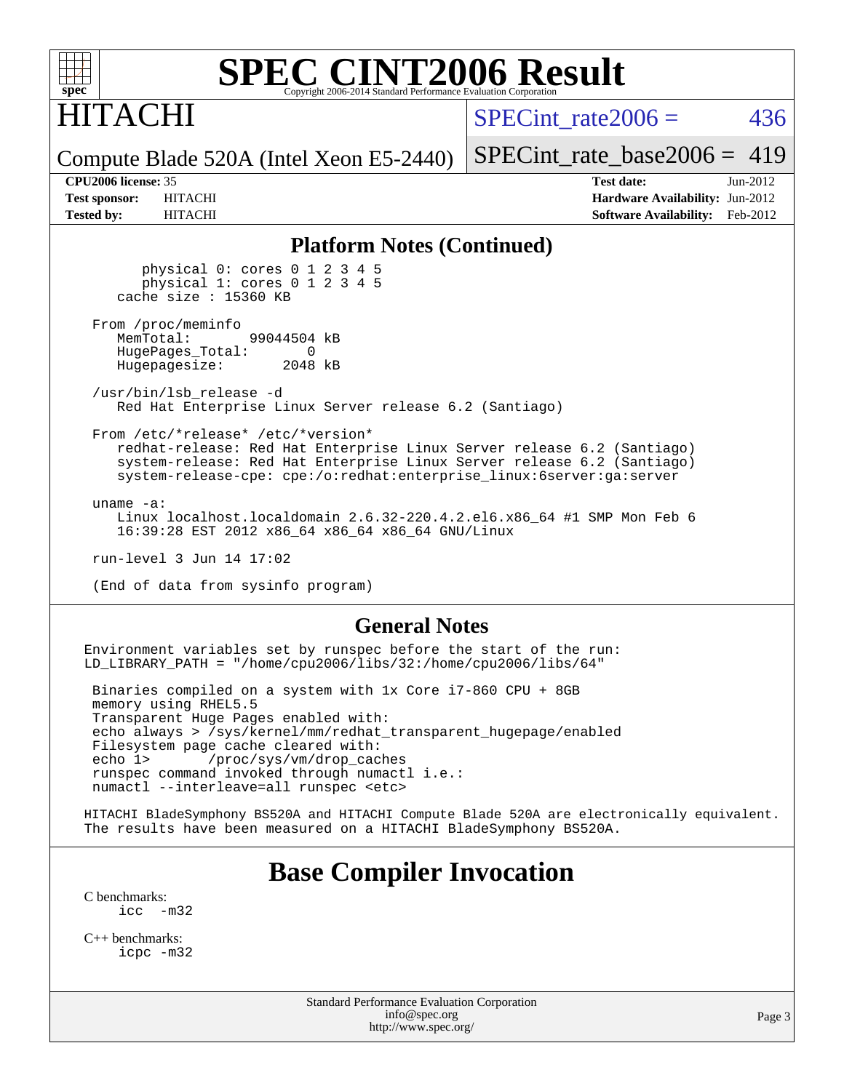

# ITACHI

SPECint rate $2006 = 436$ 

Compute Blade 520A (Intel Xeon E5-2440)

[SPECint\\_rate\\_base2006 =](http://www.spec.org/auto/cpu2006/Docs/result-fields.html#SPECintratebase2006) 419

**[CPU2006 license:](http://www.spec.org/auto/cpu2006/Docs/result-fields.html#CPU2006license)** 35 **[Test date:](http://www.spec.org/auto/cpu2006/Docs/result-fields.html#Testdate)** Jun-2012 **[Test sponsor:](http://www.spec.org/auto/cpu2006/Docs/result-fields.html#Testsponsor)** HITACHI **[Hardware Availability:](http://www.spec.org/auto/cpu2006/Docs/result-fields.html#HardwareAvailability)** Jun-2012 **[Tested by:](http://www.spec.org/auto/cpu2006/Docs/result-fields.html#Testedby)** HITACHI **[Software Availability:](http://www.spec.org/auto/cpu2006/Docs/result-fields.html#SoftwareAvailability)** Feb-2012

#### **[Platform Notes \(Continued\)](http://www.spec.org/auto/cpu2006/Docs/result-fields.html#PlatformNotes)**

 physical 0: cores 0 1 2 3 4 5 physical 1: cores 0 1 2 3 4 5 cache size : 15360 KB

From /proc/meminfo<br>MemTotal: 99044504 kB HugePages\_Total: 0<br>Hugepagesize: 2048 kB Hugepagesize:

 /usr/bin/lsb\_release -d Red Hat Enterprise Linux Server release 6.2 (Santiago)

From /etc/\*release\* /etc/\*version\*

 redhat-release: Red Hat Enterprise Linux Server release 6.2 (Santiago) system-release: Red Hat Enterprise Linux Server release 6.2 (Santiago) system-release-cpe: cpe:/o:redhat:enterprise\_linux:6server:ga:server

uname -a:

 Linux localhost.localdomain 2.6.32-220.4.2.el6.x86\_64 #1 SMP Mon Feb 6 16:39:28 EST 2012 x86\_64 x86\_64 x86\_64 GNU/Linux

run-level 3 Jun 14 17:02

(End of data from sysinfo program)

#### **[General Notes](http://www.spec.org/auto/cpu2006/Docs/result-fields.html#GeneralNotes)**

Environment variables set by runspec before the start of the run: LD\_LIBRARY\_PATH = "/home/cpu2006/libs/32:/home/cpu2006/libs/64"

 Binaries compiled on a system with 1x Core i7-860 CPU + 8GB memory using RHEL5.5 Transparent Huge Pages enabled with: echo always > /sys/kernel/mm/redhat\_transparent\_hugepage/enabled Filesystem page cache cleared with: echo 1> /proc/sys/vm/drop\_caches runspec command invoked through numactl i.e.: numactl --interleave=all runspec <etc>

HITACHI BladeSymphony BS520A and HITACHI Compute Blade 520A are electronically equivalent. The results have been measured on a HITACHI BladeSymphony BS520A.

### **[Base Compiler Invocation](http://www.spec.org/auto/cpu2006/Docs/result-fields.html#BaseCompilerInvocation)**

[C benchmarks](http://www.spec.org/auto/cpu2006/Docs/result-fields.html#Cbenchmarks):  $\text{icc}$   $-\text{m32}$ 

[C++ benchmarks:](http://www.spec.org/auto/cpu2006/Docs/result-fields.html#CXXbenchmarks) [icpc -m32](http://www.spec.org/cpu2006/results/res2012q3/cpu2006-20120619-23053.flags.html#user_CXXbase_intel_icpc_4e5a5ef1a53fd332b3c49e69c3330699)

> Standard Performance Evaluation Corporation [info@spec.org](mailto:info@spec.org) <http://www.spec.org/>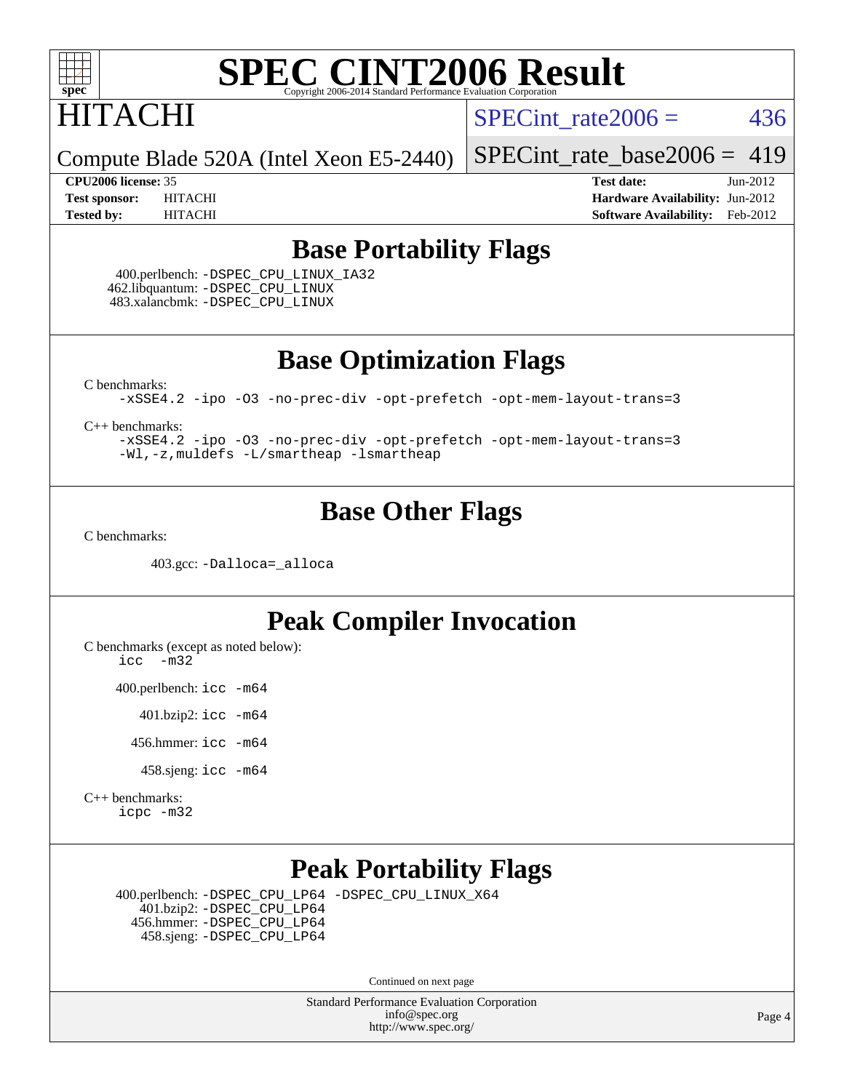

# HITACHI

SPECint rate $2006 = 436$ 

Compute Blade 520A (Intel Xeon E5-2440)

[SPECint\\_rate\\_base2006 =](http://www.spec.org/auto/cpu2006/Docs/result-fields.html#SPECintratebase2006) 419

**[CPU2006 license:](http://www.spec.org/auto/cpu2006/Docs/result-fields.html#CPU2006license)** 35 **[Test date:](http://www.spec.org/auto/cpu2006/Docs/result-fields.html#Testdate)** Jun-2012 **[Test sponsor:](http://www.spec.org/auto/cpu2006/Docs/result-fields.html#Testsponsor)** HITACHI **[Hardware Availability:](http://www.spec.org/auto/cpu2006/Docs/result-fields.html#HardwareAvailability)** Jun-2012 **[Tested by:](http://www.spec.org/auto/cpu2006/Docs/result-fields.html#Testedby)** HITACHI **[Software Availability:](http://www.spec.org/auto/cpu2006/Docs/result-fields.html#SoftwareAvailability)** Feb-2012

### **[Base Portability Flags](http://www.spec.org/auto/cpu2006/Docs/result-fields.html#BasePortabilityFlags)**

 400.perlbench: [-DSPEC\\_CPU\\_LINUX\\_IA32](http://www.spec.org/cpu2006/results/res2012q3/cpu2006-20120619-23053.flags.html#b400.perlbench_baseCPORTABILITY_DSPEC_CPU_LINUX_IA32) 462.libquantum: [-DSPEC\\_CPU\\_LINUX](http://www.spec.org/cpu2006/results/res2012q3/cpu2006-20120619-23053.flags.html#b462.libquantum_baseCPORTABILITY_DSPEC_CPU_LINUX) 483.xalancbmk: [-DSPEC\\_CPU\\_LINUX](http://www.spec.org/cpu2006/results/res2012q3/cpu2006-20120619-23053.flags.html#b483.xalancbmk_baseCXXPORTABILITY_DSPEC_CPU_LINUX)

**[Base Optimization Flags](http://www.spec.org/auto/cpu2006/Docs/result-fields.html#BaseOptimizationFlags)**

[C benchmarks](http://www.spec.org/auto/cpu2006/Docs/result-fields.html#Cbenchmarks):

[-xSSE4.2](http://www.spec.org/cpu2006/results/res2012q3/cpu2006-20120619-23053.flags.html#user_CCbase_f-xSSE42_f91528193cf0b216347adb8b939d4107) [-ipo](http://www.spec.org/cpu2006/results/res2012q3/cpu2006-20120619-23053.flags.html#user_CCbase_f-ipo) [-O3](http://www.spec.org/cpu2006/results/res2012q3/cpu2006-20120619-23053.flags.html#user_CCbase_f-O3) [-no-prec-div](http://www.spec.org/cpu2006/results/res2012q3/cpu2006-20120619-23053.flags.html#user_CCbase_f-no-prec-div) [-opt-prefetch](http://www.spec.org/cpu2006/results/res2012q3/cpu2006-20120619-23053.flags.html#user_CCbase_f-opt-prefetch) [-opt-mem-layout-trans=3](http://www.spec.org/cpu2006/results/res2012q3/cpu2006-20120619-23053.flags.html#user_CCbase_f-opt-mem-layout-trans_a7b82ad4bd7abf52556d4961a2ae94d5)

[C++ benchmarks:](http://www.spec.org/auto/cpu2006/Docs/result-fields.html#CXXbenchmarks)

[-xSSE4.2](http://www.spec.org/cpu2006/results/res2012q3/cpu2006-20120619-23053.flags.html#user_CXXbase_f-xSSE42_f91528193cf0b216347adb8b939d4107) [-ipo](http://www.spec.org/cpu2006/results/res2012q3/cpu2006-20120619-23053.flags.html#user_CXXbase_f-ipo) [-O3](http://www.spec.org/cpu2006/results/res2012q3/cpu2006-20120619-23053.flags.html#user_CXXbase_f-O3) [-no-prec-div](http://www.spec.org/cpu2006/results/res2012q3/cpu2006-20120619-23053.flags.html#user_CXXbase_f-no-prec-div) [-opt-prefetch](http://www.spec.org/cpu2006/results/res2012q3/cpu2006-20120619-23053.flags.html#user_CXXbase_f-opt-prefetch) [-opt-mem-layout-trans=3](http://www.spec.org/cpu2006/results/res2012q3/cpu2006-20120619-23053.flags.html#user_CXXbase_f-opt-mem-layout-trans_a7b82ad4bd7abf52556d4961a2ae94d5) [-Wl,-z,muldefs](http://www.spec.org/cpu2006/results/res2012q3/cpu2006-20120619-23053.flags.html#user_CXXbase_link_force_multiple1_74079c344b956b9658436fd1b6dd3a8a) [-L/smartheap -lsmartheap](http://www.spec.org/cpu2006/results/res2012q3/cpu2006-20120619-23053.flags.html#user_CXXbase_SmartHeap_7c9e394a5779e1a7fec7c221e123830c)

## **[Base Other Flags](http://www.spec.org/auto/cpu2006/Docs/result-fields.html#BaseOtherFlags)**

[C benchmarks](http://www.spec.org/auto/cpu2006/Docs/result-fields.html#Cbenchmarks):

403.gcc: [-Dalloca=\\_alloca](http://www.spec.org/cpu2006/results/res2012q3/cpu2006-20120619-23053.flags.html#b403.gcc_baseEXTRA_CFLAGS_Dalloca_be3056838c12de2578596ca5467af7f3)

### **[Peak Compiler Invocation](http://www.spec.org/auto/cpu2006/Docs/result-fields.html#PeakCompilerInvocation)**

[C benchmarks \(except as noted below\)](http://www.spec.org/auto/cpu2006/Docs/result-fields.html#Cbenchmarksexceptasnotedbelow):

[icc -m32](http://www.spec.org/cpu2006/results/res2012q3/cpu2006-20120619-23053.flags.html#user_CCpeak_intel_icc_5ff4a39e364c98233615fdd38438c6f2)

400.perlbench: [icc -m64](http://www.spec.org/cpu2006/results/res2012q3/cpu2006-20120619-23053.flags.html#user_peakCCLD400_perlbench_intel_icc_64bit_bda6cc9af1fdbb0edc3795bac97ada53)

401.bzip2: [icc -m64](http://www.spec.org/cpu2006/results/res2012q3/cpu2006-20120619-23053.flags.html#user_peakCCLD401_bzip2_intel_icc_64bit_bda6cc9af1fdbb0edc3795bac97ada53)

456.hmmer: [icc -m64](http://www.spec.org/cpu2006/results/res2012q3/cpu2006-20120619-23053.flags.html#user_peakCCLD456_hmmer_intel_icc_64bit_bda6cc9af1fdbb0edc3795bac97ada53)

458.sjeng: [icc -m64](http://www.spec.org/cpu2006/results/res2012q3/cpu2006-20120619-23053.flags.html#user_peakCCLD458_sjeng_intel_icc_64bit_bda6cc9af1fdbb0edc3795bac97ada53)

[C++ benchmarks:](http://www.spec.org/auto/cpu2006/Docs/result-fields.html#CXXbenchmarks) [icpc -m32](http://www.spec.org/cpu2006/results/res2012q3/cpu2006-20120619-23053.flags.html#user_CXXpeak_intel_icpc_4e5a5ef1a53fd332b3c49e69c3330699)

### **[Peak Portability Flags](http://www.spec.org/auto/cpu2006/Docs/result-fields.html#PeakPortabilityFlags)**

 400.perlbench: [-DSPEC\\_CPU\\_LP64](http://www.spec.org/cpu2006/results/res2012q3/cpu2006-20120619-23053.flags.html#b400.perlbench_peakCPORTABILITY_DSPEC_CPU_LP64) [-DSPEC\\_CPU\\_LINUX\\_X64](http://www.spec.org/cpu2006/results/res2012q3/cpu2006-20120619-23053.flags.html#b400.perlbench_peakCPORTABILITY_DSPEC_CPU_LINUX_X64) 401.bzip2: [-DSPEC\\_CPU\\_LP64](http://www.spec.org/cpu2006/results/res2012q3/cpu2006-20120619-23053.flags.html#suite_peakCPORTABILITY401_bzip2_DSPEC_CPU_LP64) 456.hmmer: [-DSPEC\\_CPU\\_LP64](http://www.spec.org/cpu2006/results/res2012q3/cpu2006-20120619-23053.flags.html#suite_peakCPORTABILITY456_hmmer_DSPEC_CPU_LP64) 458.sjeng: [-DSPEC\\_CPU\\_LP64](http://www.spec.org/cpu2006/results/res2012q3/cpu2006-20120619-23053.flags.html#suite_peakCPORTABILITY458_sjeng_DSPEC_CPU_LP64)

Continued on next page

Standard Performance Evaluation Corporation [info@spec.org](mailto:info@spec.org) <http://www.spec.org/>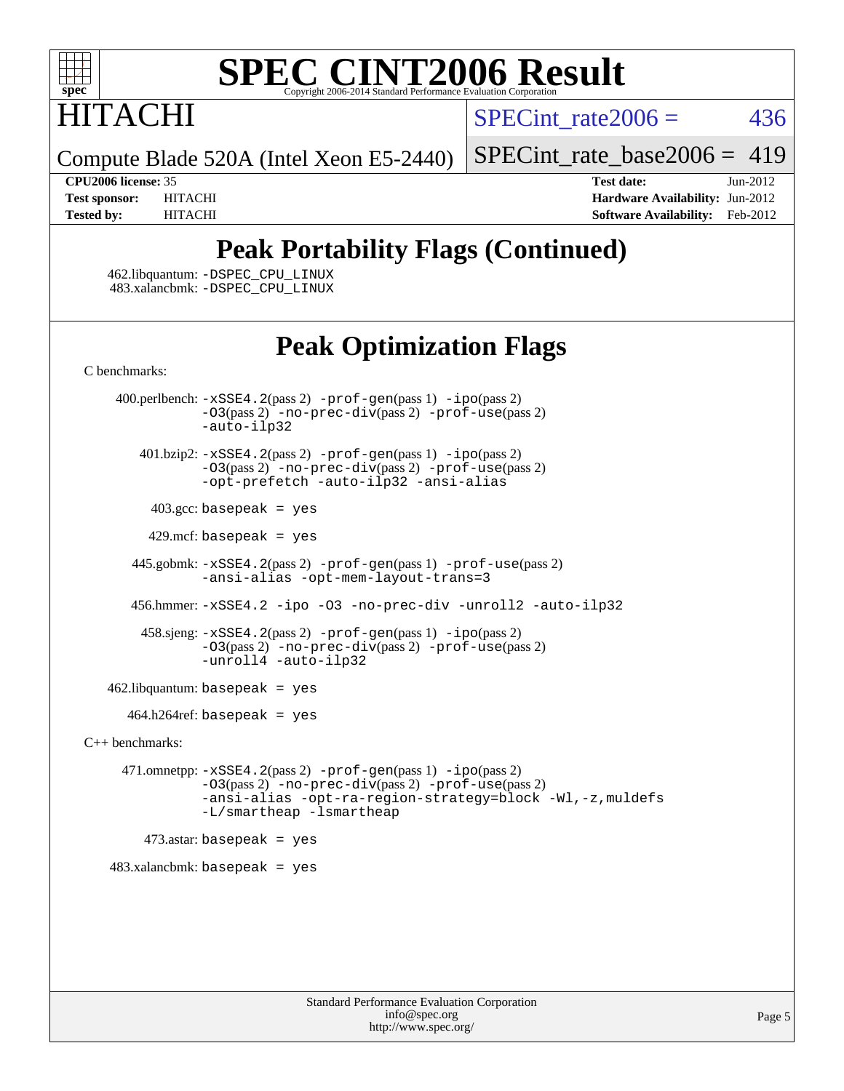

# **ITACHI**

SPECint rate $2006 = 436$ 

Compute Blade 520A (Intel Xeon E5-2440)

[SPECint\\_rate\\_base2006 =](http://www.spec.org/auto/cpu2006/Docs/result-fields.html#SPECintratebase2006) 419

**[CPU2006 license:](http://www.spec.org/auto/cpu2006/Docs/result-fields.html#CPU2006license)** 35 **[Test date:](http://www.spec.org/auto/cpu2006/Docs/result-fields.html#Testdate)** Jun-2012 **[Test sponsor:](http://www.spec.org/auto/cpu2006/Docs/result-fields.html#Testsponsor)** HITACHI **[Hardware Availability:](http://www.spec.org/auto/cpu2006/Docs/result-fields.html#HardwareAvailability)** Jun-2012 **[Tested by:](http://www.spec.org/auto/cpu2006/Docs/result-fields.html#Testedby)** HITACHI **[Software Availability:](http://www.spec.org/auto/cpu2006/Docs/result-fields.html#SoftwareAvailability)** Feb-2012

## **[Peak Portability Flags \(Continued\)](http://www.spec.org/auto/cpu2006/Docs/result-fields.html#PeakPortabilityFlags)**

 462.libquantum: [-DSPEC\\_CPU\\_LINUX](http://www.spec.org/cpu2006/results/res2012q3/cpu2006-20120619-23053.flags.html#b462.libquantum_peakCPORTABILITY_DSPEC_CPU_LINUX) 483.xalancbmk: [-DSPEC\\_CPU\\_LINUX](http://www.spec.org/cpu2006/results/res2012q3/cpu2006-20120619-23053.flags.html#b483.xalancbmk_peakCXXPORTABILITY_DSPEC_CPU_LINUX)

## **[Peak Optimization Flags](http://www.spec.org/auto/cpu2006/Docs/result-fields.html#PeakOptimizationFlags)**

[C benchmarks](http://www.spec.org/auto/cpu2006/Docs/result-fields.html#Cbenchmarks):

 400.perlbench: [-xSSE4.2](http://www.spec.org/cpu2006/results/res2012q3/cpu2006-20120619-23053.flags.html#user_peakPASS2_CFLAGSPASS2_LDCFLAGS400_perlbench_f-xSSE42_f91528193cf0b216347adb8b939d4107)(pass 2) [-prof-gen](http://www.spec.org/cpu2006/results/res2012q3/cpu2006-20120619-23053.flags.html#user_peakPASS1_CFLAGSPASS1_LDCFLAGS400_perlbench_prof_gen_e43856698f6ca7b7e442dfd80e94a8fc)(pass 1) [-ipo](http://www.spec.org/cpu2006/results/res2012q3/cpu2006-20120619-23053.flags.html#user_peakPASS2_CFLAGSPASS2_LDCFLAGS400_perlbench_f-ipo)(pass 2) [-O3](http://www.spec.org/cpu2006/results/res2012q3/cpu2006-20120619-23053.flags.html#user_peakPASS2_CFLAGSPASS2_LDCFLAGS400_perlbench_f-O3)(pass 2) [-no-prec-div](http://www.spec.org/cpu2006/results/res2012q3/cpu2006-20120619-23053.flags.html#user_peakPASS2_CFLAGSPASS2_LDCFLAGS400_perlbench_f-no-prec-div)(pass 2) [-prof-use](http://www.spec.org/cpu2006/results/res2012q3/cpu2006-20120619-23053.flags.html#user_peakPASS2_CFLAGSPASS2_LDCFLAGS400_perlbench_prof_use_bccf7792157ff70d64e32fe3e1250b55)(pass 2) [-auto-ilp32](http://www.spec.org/cpu2006/results/res2012q3/cpu2006-20120619-23053.flags.html#user_peakCOPTIMIZE400_perlbench_f-auto-ilp32) 401.bzip2: [-xSSE4.2](http://www.spec.org/cpu2006/results/res2012q3/cpu2006-20120619-23053.flags.html#user_peakPASS2_CFLAGSPASS2_LDCFLAGS401_bzip2_f-xSSE42_f91528193cf0b216347adb8b939d4107)(pass 2) [-prof-gen](http://www.spec.org/cpu2006/results/res2012q3/cpu2006-20120619-23053.flags.html#user_peakPASS1_CFLAGSPASS1_LDCFLAGS401_bzip2_prof_gen_e43856698f6ca7b7e442dfd80e94a8fc)(pass 1) [-ipo](http://www.spec.org/cpu2006/results/res2012q3/cpu2006-20120619-23053.flags.html#user_peakPASS2_CFLAGSPASS2_LDCFLAGS401_bzip2_f-ipo)(pass 2) [-O3](http://www.spec.org/cpu2006/results/res2012q3/cpu2006-20120619-23053.flags.html#user_peakPASS2_CFLAGSPASS2_LDCFLAGS401_bzip2_f-O3)(pass 2) [-no-prec-div](http://www.spec.org/cpu2006/results/res2012q3/cpu2006-20120619-23053.flags.html#user_peakPASS2_CFLAGSPASS2_LDCFLAGS401_bzip2_f-no-prec-div)(pass 2) [-prof-use](http://www.spec.org/cpu2006/results/res2012q3/cpu2006-20120619-23053.flags.html#user_peakPASS2_CFLAGSPASS2_LDCFLAGS401_bzip2_prof_use_bccf7792157ff70d64e32fe3e1250b55)(pass 2) [-opt-prefetch](http://www.spec.org/cpu2006/results/res2012q3/cpu2006-20120619-23053.flags.html#user_peakCOPTIMIZE401_bzip2_f-opt-prefetch) [-auto-ilp32](http://www.spec.org/cpu2006/results/res2012q3/cpu2006-20120619-23053.flags.html#user_peakCOPTIMIZE401_bzip2_f-auto-ilp32) [-ansi-alias](http://www.spec.org/cpu2006/results/res2012q3/cpu2006-20120619-23053.flags.html#user_peakCOPTIMIZE401_bzip2_f-ansi-alias)  $403.\text{gcc: basepeak}$  = yes  $429$ .mcf: basepeak = yes 445.gobmk: [-xSSE4.2](http://www.spec.org/cpu2006/results/res2012q3/cpu2006-20120619-23053.flags.html#user_peakPASS2_CFLAGSPASS2_LDCFLAGS445_gobmk_f-xSSE42_f91528193cf0b216347adb8b939d4107)(pass 2) [-prof-gen](http://www.spec.org/cpu2006/results/res2012q3/cpu2006-20120619-23053.flags.html#user_peakPASS1_CFLAGSPASS1_LDCFLAGS445_gobmk_prof_gen_e43856698f6ca7b7e442dfd80e94a8fc)(pass 1) [-prof-use](http://www.spec.org/cpu2006/results/res2012q3/cpu2006-20120619-23053.flags.html#user_peakPASS2_CFLAGSPASS2_LDCFLAGS445_gobmk_prof_use_bccf7792157ff70d64e32fe3e1250b55)(pass 2) [-ansi-alias](http://www.spec.org/cpu2006/results/res2012q3/cpu2006-20120619-23053.flags.html#user_peakCOPTIMIZE445_gobmk_f-ansi-alias) [-opt-mem-layout-trans=3](http://www.spec.org/cpu2006/results/res2012q3/cpu2006-20120619-23053.flags.html#user_peakCOPTIMIZE445_gobmk_f-opt-mem-layout-trans_a7b82ad4bd7abf52556d4961a2ae94d5) 456.hmmer: [-xSSE4.2](http://www.spec.org/cpu2006/results/res2012q3/cpu2006-20120619-23053.flags.html#user_peakCOPTIMIZE456_hmmer_f-xSSE42_f91528193cf0b216347adb8b939d4107) [-ipo](http://www.spec.org/cpu2006/results/res2012q3/cpu2006-20120619-23053.flags.html#user_peakCOPTIMIZE456_hmmer_f-ipo) [-O3](http://www.spec.org/cpu2006/results/res2012q3/cpu2006-20120619-23053.flags.html#user_peakCOPTIMIZE456_hmmer_f-O3) [-no-prec-div](http://www.spec.org/cpu2006/results/res2012q3/cpu2006-20120619-23053.flags.html#user_peakCOPTIMIZE456_hmmer_f-no-prec-div) [-unroll2](http://www.spec.org/cpu2006/results/res2012q3/cpu2006-20120619-23053.flags.html#user_peakCOPTIMIZE456_hmmer_f-unroll_784dae83bebfb236979b41d2422d7ec2) [-auto-ilp32](http://www.spec.org/cpu2006/results/res2012q3/cpu2006-20120619-23053.flags.html#user_peakCOPTIMIZE456_hmmer_f-auto-ilp32) 458.sjeng: [-xSSE4.2](http://www.spec.org/cpu2006/results/res2012q3/cpu2006-20120619-23053.flags.html#user_peakPASS2_CFLAGSPASS2_LDCFLAGS458_sjeng_f-xSSE42_f91528193cf0b216347adb8b939d4107)(pass 2) [-prof-gen](http://www.spec.org/cpu2006/results/res2012q3/cpu2006-20120619-23053.flags.html#user_peakPASS1_CFLAGSPASS1_LDCFLAGS458_sjeng_prof_gen_e43856698f6ca7b7e442dfd80e94a8fc)(pass 1) [-ipo](http://www.spec.org/cpu2006/results/res2012q3/cpu2006-20120619-23053.flags.html#user_peakPASS2_CFLAGSPASS2_LDCFLAGS458_sjeng_f-ipo)(pass 2) [-O3](http://www.spec.org/cpu2006/results/res2012q3/cpu2006-20120619-23053.flags.html#user_peakPASS2_CFLAGSPASS2_LDCFLAGS458_sjeng_f-O3)(pass 2) [-no-prec-div](http://www.spec.org/cpu2006/results/res2012q3/cpu2006-20120619-23053.flags.html#user_peakPASS2_CFLAGSPASS2_LDCFLAGS458_sjeng_f-no-prec-div)(pass 2) [-prof-use](http://www.spec.org/cpu2006/results/res2012q3/cpu2006-20120619-23053.flags.html#user_peakPASS2_CFLAGSPASS2_LDCFLAGS458_sjeng_prof_use_bccf7792157ff70d64e32fe3e1250b55)(pass 2) [-unroll4](http://www.spec.org/cpu2006/results/res2012q3/cpu2006-20120619-23053.flags.html#user_peakCOPTIMIZE458_sjeng_f-unroll_4e5e4ed65b7fd20bdcd365bec371b81f) [-auto-ilp32](http://www.spec.org/cpu2006/results/res2012q3/cpu2006-20120619-23053.flags.html#user_peakCOPTIMIZE458_sjeng_f-auto-ilp32)  $462$ .libquantum: basepeak = yes  $464.h264$ ref: basepeak = yes [C++ benchmarks:](http://www.spec.org/auto/cpu2006/Docs/result-fields.html#CXXbenchmarks) 471.omnetpp: [-xSSE4.2](http://www.spec.org/cpu2006/results/res2012q3/cpu2006-20120619-23053.flags.html#user_peakPASS2_CXXFLAGSPASS2_LDCXXFLAGS471_omnetpp_f-xSSE42_f91528193cf0b216347adb8b939d4107)(pass 2) [-prof-gen](http://www.spec.org/cpu2006/results/res2012q3/cpu2006-20120619-23053.flags.html#user_peakPASS1_CXXFLAGSPASS1_LDCXXFLAGS471_omnetpp_prof_gen_e43856698f6ca7b7e442dfd80e94a8fc)(pass 1) [-ipo](http://www.spec.org/cpu2006/results/res2012q3/cpu2006-20120619-23053.flags.html#user_peakPASS2_CXXFLAGSPASS2_LDCXXFLAGS471_omnetpp_f-ipo)(pass 2) [-O3](http://www.spec.org/cpu2006/results/res2012q3/cpu2006-20120619-23053.flags.html#user_peakPASS2_CXXFLAGSPASS2_LDCXXFLAGS471_omnetpp_f-O3)(pass 2) [-no-prec-div](http://www.spec.org/cpu2006/results/res2012q3/cpu2006-20120619-23053.flags.html#user_peakPASS2_CXXFLAGSPASS2_LDCXXFLAGS471_omnetpp_f-no-prec-div)(pass 2) [-prof-use](http://www.spec.org/cpu2006/results/res2012q3/cpu2006-20120619-23053.flags.html#user_peakPASS2_CXXFLAGSPASS2_LDCXXFLAGS471_omnetpp_prof_use_bccf7792157ff70d64e32fe3e1250b55)(pass 2) [-ansi-alias](http://www.spec.org/cpu2006/results/res2012q3/cpu2006-20120619-23053.flags.html#user_peakCXXOPTIMIZE471_omnetpp_f-ansi-alias) [-opt-ra-region-strategy=block](http://www.spec.org/cpu2006/results/res2012q3/cpu2006-20120619-23053.flags.html#user_peakCXXOPTIMIZE471_omnetpp_f-opt-ra-region-strategy_a0a37c372d03933b2a18d4af463c1f69) [-Wl,-z,muldefs](http://www.spec.org/cpu2006/results/res2012q3/cpu2006-20120619-23053.flags.html#user_peakEXTRA_LDFLAGS471_omnetpp_link_force_multiple1_74079c344b956b9658436fd1b6dd3a8a) [-L/smartheap -lsmartheap](http://www.spec.org/cpu2006/results/res2012q3/cpu2006-20120619-23053.flags.html#user_peakEXTRA_LIBS471_omnetpp_SmartHeap_7c9e394a5779e1a7fec7c221e123830c)  $473$ .astar: basepeak = yes 483.xalancbmk: basepeak = yes